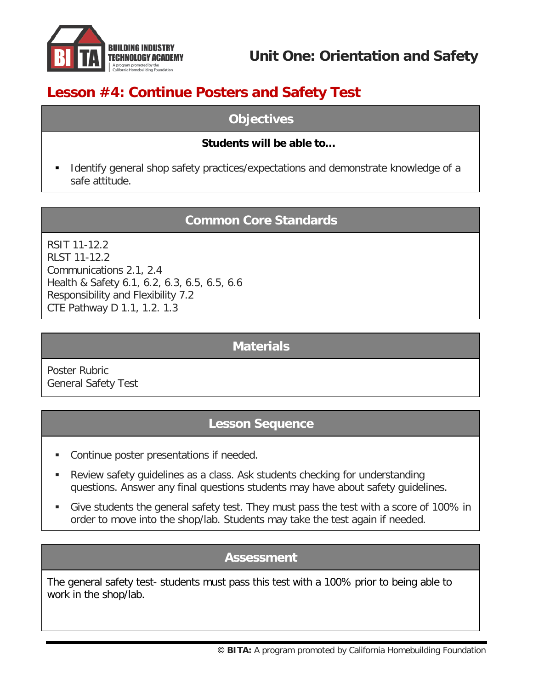

**Unit One: Orientation and Safety**

# **Lesson #4: Continue Posters and Safety Test**

## **Objectives**

#### **Students will be able to…**

 Identify general shop safety practices/expectations and demonstrate knowledge of a safe attitude.

#### **Common Core Standards**

RSIT 11-12.2 RLST 11-12.2 Communications 2.1, 2.4 Health & Safety 6.1, 6.2, 6.3, 6.5, 6.5, 6.6 Responsibility and Flexibility 7.2 CTE Pathway D 1.1, 1.2. 1.3

#### **Materials**

Poster Rubric General Safety Test

## **Lesson Sequence**

- Continue poster presentations if needed.
- Review safety guidelines as a class. Ask students checking for understanding questions. Answer any final questions students may have about safety guidelines.
- Give students the general safety test. They must pass the test with a score of 100% in order to move into the shop/lab. Students may take the test again if needed.

#### **Assessment**

The general safety test- students must pass this test with a 100% prior to being able to work in the shop/lab.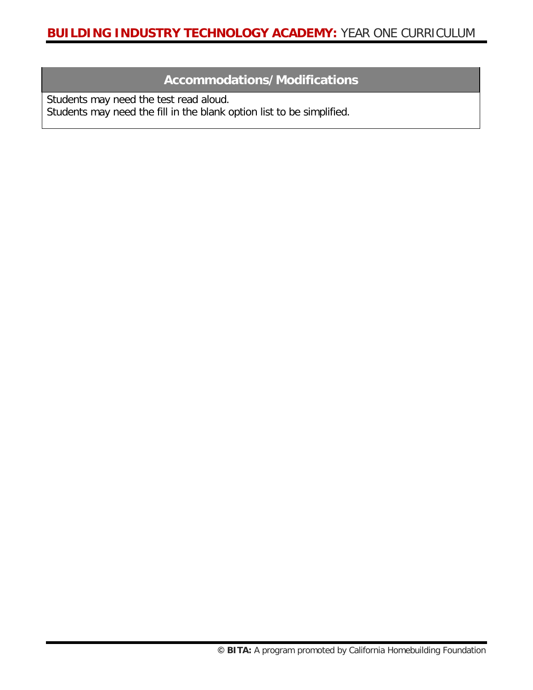## **Accommodations/Modifications**

Students may need the test read aloud. Students may need the fill in the blank option list to be simplified.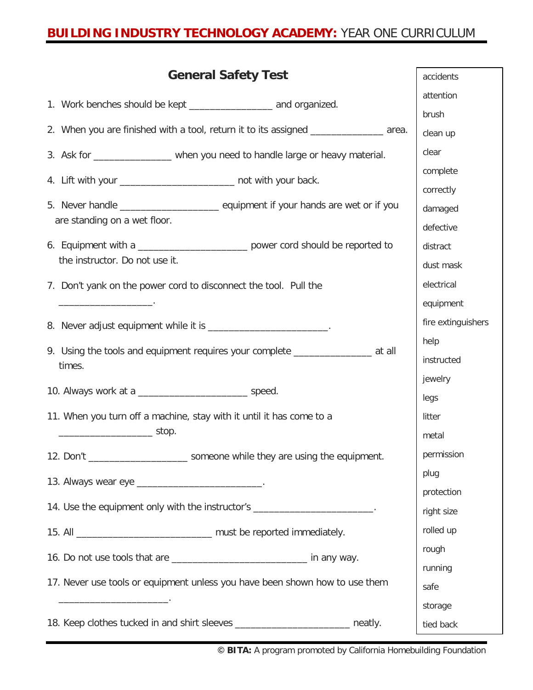| <b>General Safety Test</b>                                                                        | accidents          |
|---------------------------------------------------------------------------------------------------|--------------------|
|                                                                                                   | attention          |
| 1. Work benches should be kept ________________________ and organized.                            | brush              |
| 2. When you are finished with a tool, return it to its assigned _______________ area.             | clean up           |
| 3. Ask for __________________ when you need to handle large or heavy material.                    | clear              |
| 4. Lift with your _____________________________ not with your back.                               | complete           |
|                                                                                                   | correctly          |
| are standing on a wet floor.                                                                      | damaged            |
|                                                                                                   | defective          |
| 6. Equipment with a __________________________ power cord should be reported to                   | distract           |
| the instructor. Do not use it.                                                                    | dust mask          |
| 7. Don't yank on the power cord to disconnect the tool. Pull the                                  | electrical         |
|                                                                                                   | equipment          |
| 8. Never adjust equipment while it is _______________________.                                    | fire extinguishers |
|                                                                                                   | help               |
| 9. Using the tools and equipment requires your complete ________________________ at all<br>times. | instructed         |
|                                                                                                   | jewelry            |
|                                                                                                   | legs               |
| 11. When you turn off a machine, stay with it until it has come to a                              | litter             |
| $\overline{\phantom{a}}$ stop.                                                                    | metal              |
| 12. Don't _________________________ someone while they are using the equipment.                   | permission         |
| 13. Always wear eye ____________________________.                                                 | plug               |
|                                                                                                   | protection         |
| 14. Use the equipment only with the instructor's ______________________.                          | right size         |
| 15. All _________________________________ must be reported immediately.                           | rolled up          |
| 16. Do not use tools that are _________________________________ in any way.                       | rough              |
|                                                                                                   | running            |
| 17. Never use tools or equipment unless you have been shown how to use them                       | safe               |
| <u> 1989 - Johann John Harrison, martin a</u>                                                     | storage            |
| 18. Keep clothes tucked in and shirt sleeves _________________________ neatly.                    | tied back          |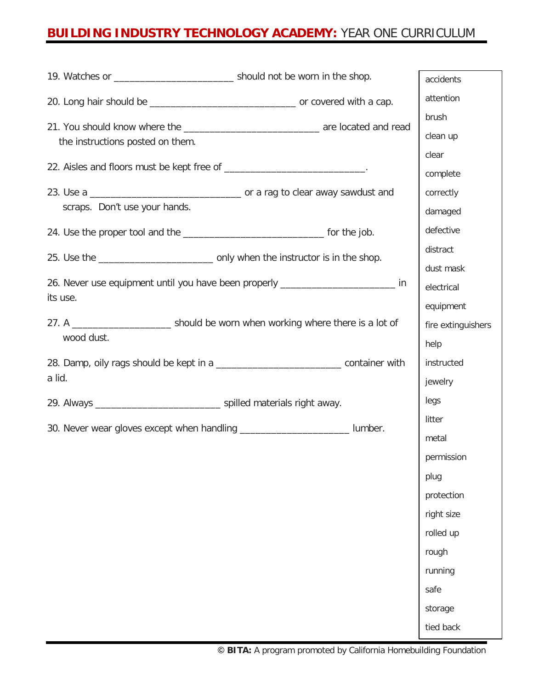| 19. Watches or __________________________________ should not be worn in the shop.      | accidents          |
|----------------------------------------------------------------------------------------|--------------------|
|                                                                                        | attention          |
|                                                                                        | brush              |
| the instructions posted on them.                                                       | clean up           |
|                                                                                        | clear              |
| 22. Aisles and floors must be kept free of _____________________________.              | complete           |
|                                                                                        | correctly          |
| scraps. Don't use your hands.                                                          | damaged            |
|                                                                                        | defective          |
|                                                                                        | distract           |
|                                                                                        | dust mask          |
| 26. Never use equipment until you have been properly __________________________ in     | electrical         |
| its use.                                                                               | equipment          |
|                                                                                        | fire extinguishers |
| wood dust.                                                                             | help               |
| 28. Damp, oily rags should be kept in a ________________________________container with | instructed         |
| a lid.                                                                                 | jewelry            |
|                                                                                        | legs               |
| 30. Never wear gloves except when handling ____________________________ lumber.        | litter             |
|                                                                                        | metal              |
|                                                                                        | permission         |
|                                                                                        | plug               |
|                                                                                        | protection         |
|                                                                                        | right size         |
|                                                                                        | rolled up          |
|                                                                                        | rough              |
|                                                                                        | running            |
|                                                                                        | safe               |
|                                                                                        | storage            |
|                                                                                        | tied back          |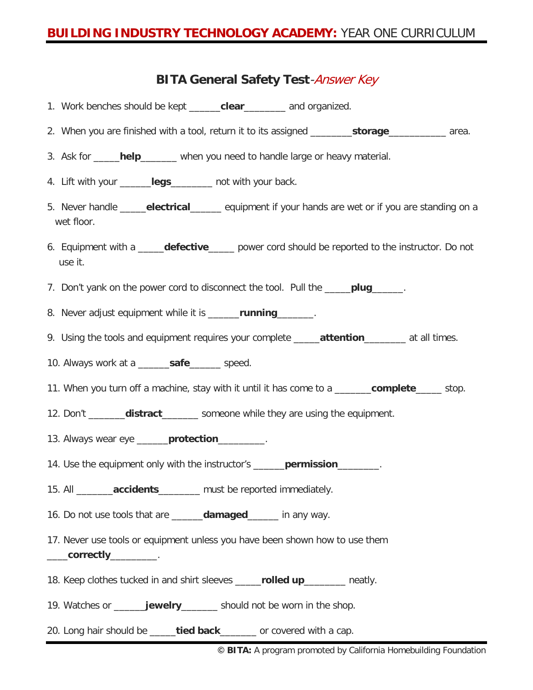### **BITA General Safety Test**-Answer Key

- 1. Work benches should be kept \_\_\_\_\_\_**clear**\_\_\_\_\_\_\_\_ and organized.
- 2. When you are finished with a tool, return it to its assigned \_\_\_\_\_\_\_\_**storage**\_\_\_\_\_\_\_\_\_\_\_ area.
- 3. Ask for \_\_\_\_\_**help**\_\_\_\_\_\_\_ when you need to handle large or heavy material.
- 4. Lift with your \_\_\_\_\_\_**legs**\_\_\_\_\_\_\_\_ not with your back.
- 5. Never handle \_\_\_\_\_**electrical**\_\_\_\_\_\_ equipment if your hands are wet or if you are standing on a wet floor.
- 6. Equipment with a \_\_\_\_\_**defective**\_\_\_\_\_ power cord should be reported to the instructor. Do not use it.
- 7. Don't yank on the power cord to disconnect the tool. Pull the \_\_\_\_\_**plug**\_\_\_\_\_\_.
- 8. Never adjust equipment while it is \_\_\_\_\_\_**running**\_\_\_\_\_\_\_.
- 9. Using the tools and equipment requires your complete **attention** at all times.
- 10. Always work at a \_\_\_\_\_\_**safe**\_\_\_\_\_\_ speed.
- 11. When you turn off a machine, stay with it until it has come to a \_\_\_\_\_\_\_**complete**\_\_\_\_\_ stop.
- 12. Don't \_\_\_\_\_\_\_**distract**\_\_\_\_\_\_\_ someone while they are using the equipment.
- 13. Always wear eye \_\_\_\_\_\_**protection**\_\_\_\_\_\_\_\_\_.
- 14. Use the equipment only with the instructor's \_\_\_\_\_\_**permission**\_\_\_\_\_\_\_\_.
- 15. All \_\_\_\_\_\_\_**accidents**\_\_\_\_\_\_\_\_ must be reported immediately.
- 16. Do not use tools that are \_\_\_\_\_\_**damaged**\_\_\_\_\_\_ in any way.
- 17. Never use tools or equipment unless you have been shown how to use them \_\_\_\_**correctly**\_\_\_\_\_\_\_\_\_.
- 18. Keep clothes tucked in and shirt sleeves \_\_\_\_\_**rolled up**\_\_\_\_\_\_\_\_ neatly.
- 19. Watches or \_\_\_\_\_\_**jewelry**\_\_\_\_\_\_\_ should not be worn in the shop.
- 20. Long hair should be \_\_\_\_\_**tied back**\_\_\_\_\_\_\_ or covered with a cap.